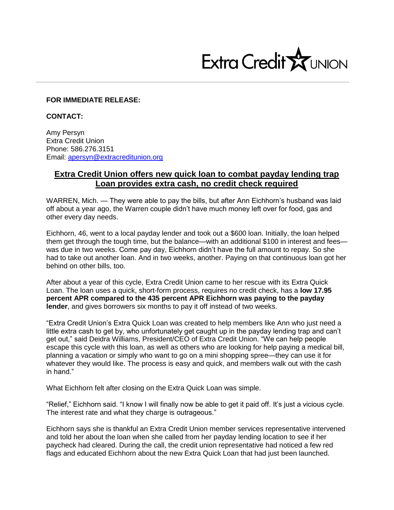

## **FOR IMMEDIATE RELEASE:**

**CONTACT:**

Amy Persyn Extra Credit Union Phone: 586.276.3151 Email: [apersyn@extracreditunion.org](mailto:apersyn@extracreditunion.org)

# **Extra Credit Union offers new quick loan to combat payday lending trap Loan provides extra cash, no credit check required**

WARREN, Mich. — They were able to pay the bills, but after Ann Eichhorn's husband was laid off about a year ago, the Warren couple didn't have much money left over for food, gas and other every day needs.

Eichhorn, 46, went to a local payday lender and took out a \$600 loan. Initially, the loan helped them get through the tough time, but the balance—with an additional \$100 in interest and fees was due in two weeks. Come pay day, Eichhorn didn't have the full amount to repay. So she had to take out another loan. And in two weeks, another. Paying on that continuous loan got her behind on other bills, too.

After about a year of this cycle, Extra Credit Union came to her rescue with its Extra Quick Loan. The loan uses a quick, short-form process, requires no credit check, has a **low 17.95 percent APR compared to the 435 percent APR Eichhorn was paying to the payday lender**, and gives borrowers six months to pay it off instead of two weeks.

"Extra Credit Union's Extra Quick Loan was created to help members like Ann who just need a little extra cash to get by, who unfortunately get caught up in the payday lending trap and can't get out," said Deidra Williams, President/CEO of Extra Credit Union. "We can help people escape this cycle with this loan, as well as others who are looking for help paying a medical bill, planning a vacation or simply who want to go on a mini shopping spree—they can use it for whatever they would like. The process is easy and quick, and members walk out with the cash in hand."

What Eichhorn felt after closing on the Extra Quick Loan was simple.

"Relief," Eichhorn said. "I know I will finally now be able to get it paid off. It's just a vicious cycle. The interest rate and what they charge is outrageous."

Eichhorn says she is thankful an Extra Credit Union member services representative intervened and told her about the loan when she called from her payday lending location to see if her paycheck had cleared. During the call, the credit union representative had noticed a few red flags and educated Eichhorn about the new Extra Quick Loan that had just been launched.